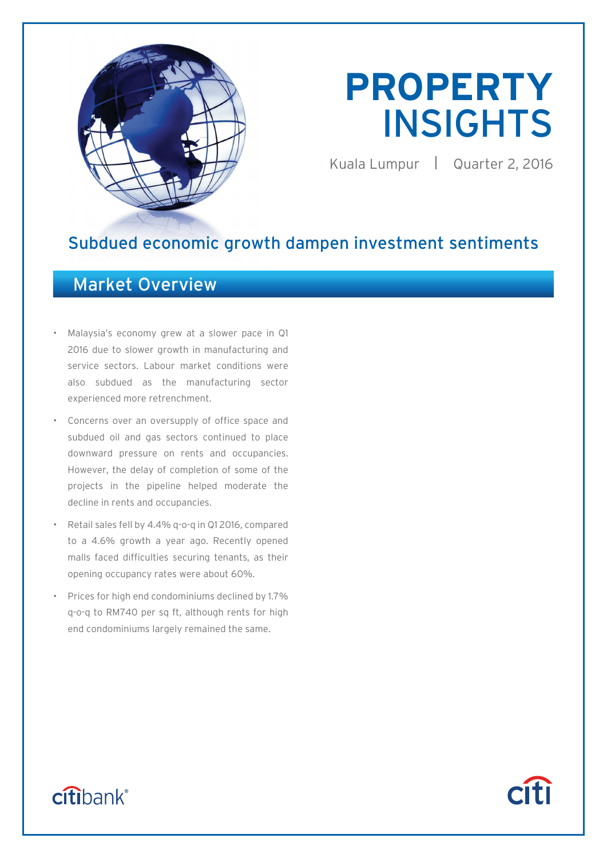

# **PROPERTY**  INSIGHTS

Kuala Lumpur | Quarter 2, 2016

**Citi** 

### Subdued economic growth dampen investment sentiments

### Market Overview

- Malaysia's economy grew at a slower pace in Q1 2016 due to slower growth in manufacturing and service sectors. Labour market conditions were also subdued as the manufacturing sector experienced more retrenchment.
- Concerns over an oversupply of office space and subdued oil and gas sectors continued to place downward pressure on rents and occupancies. However, the delay of completion of some of the projects in the pipeline helped moderate the decline in rents and occupancies.
- Retail sales fell by 4.4% q-o-q in Q1 2016, compared to a 4.6% growth a year ago. Recently opened malls faced difficulties securing tenants, as their opening occupancy rates were about 60%.
- Prices for high end condominiums declined by 1.7% q-o-q to RM740 per sq ft, although rents for high end condominiums largely remained the same.

## citibank®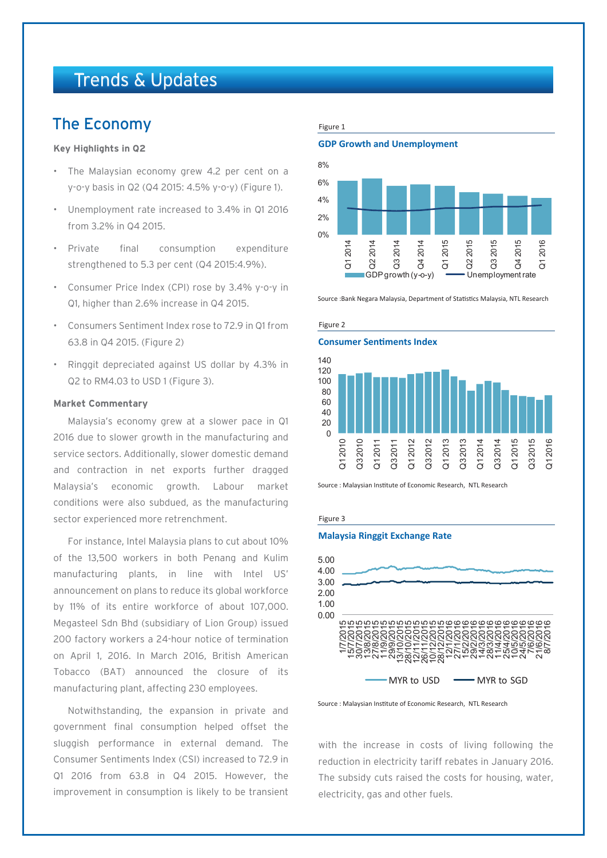### Trends & Updates

### The Economy

### **Key Highlights in Q2**

- The Malaysian economy grew 4.2 per cent on a y-o-y basis in Q2 (Q4 2015: 4.5% y-o-y) (Figure 1).
- Unemployment rate increased to 3.4% in Q1 2016 from 3.2% in Q4 2015.
- Private final consumption expenditure strengthened to 5.3 per cent (Q4 2015:4.9%).
- Consumer Price Index (CPI) rose by 3.4% y-o-y in Q1, higher than 2.6% increase in Q4 2015.
- Consumers Sentiment Index rose to 72.9 in Q1 from 63.8 in Q4 2015. (Figure 2)
- Ringgit depreciated against US dollar by 4.3% in Q2 to RM4.03 to USD 1 (Figure 3).

### **Market Commentary**

Malaysia's economy grew at a slower pace in Q1 2016 due to slower growth in the manufacturing and service sectors. Additionally, slower domestic demand and contraction in net exports further dragged Malaysia's economic growth. Labour market conditions were also subdued, as the manufacturing sector experienced more retrenchment.

For instance, Intel Malaysia plans to cut about 10% of the 13,500 workers in both Penang and Kulim manufacturing plants, in line with Intel US' announcement on plans to reduce its global workforce by 11% of its entire workforce of about 107,000. Megasteel Sdn Bhd (subsidiary of Lion Group) issued 200 factory workers a 24-hour notice of termination on April 1, 2016. In March 2016, British American Tobacco (BAT) announced the closure of its manufacturing plant, affecting 230 employees.

Notwithstanding, the expansion in private and government final consumption helped offset the sluggish performance in external demand. The Consumer Sentiments Index (CSI) increased to 72.9 in Q1 2016 from 63.8 in Q4 2015. However, the improvement in consumption is likely to be transient

### Figure 1

**GDP Growth and Unemployment**



Source :Bank Negara Malaysia, Department of Statistics Malaysia, NTL Research

#### Figure 2

### **Consumer Sentiments Index**



Source : Malaysian Institute of Economic Research, NTL Research

#### Figure 3

### **Malaysia Ringgit Exchange Rate**



Source : Malaysian Institute of Economic Research, NTL Research

with the increase in costs of living following the reduction in electricity tariff rebates in January 2016. The subsidy cuts raised the costs for housing, water, electricity, gas and other fuels.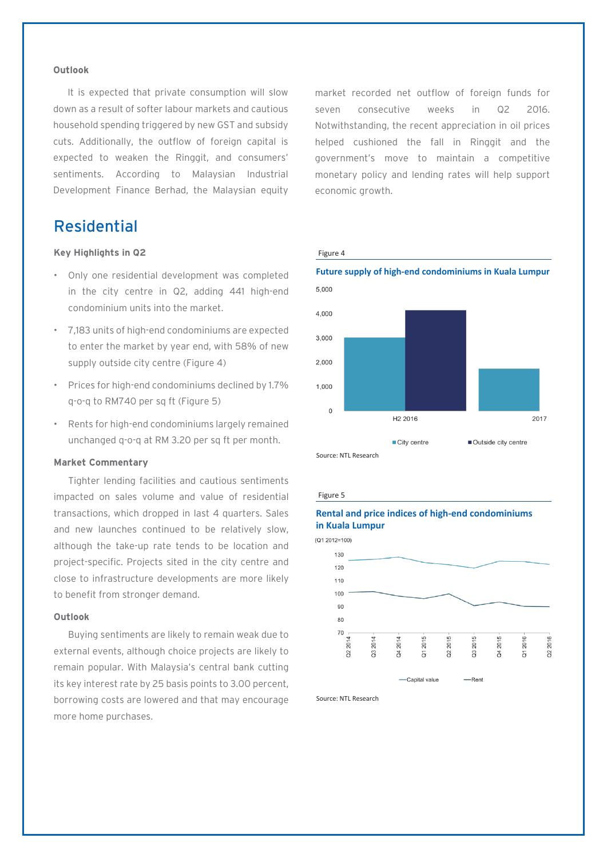### **Outlook**

It is expected that private consumption will slow down as a result of softer labour markets and cautious household spending triggered by new GST and subsidy cuts. Additionally, the outflow of foreign capital is expected to weaken the Ringgit, and consumers' sentiments. According to Malaysian Industrial Development Finance Berhad, the Malaysian equity

### Residential

### **Key Highlights in Q2**

- Only one residential development was completed in the city centre in Q2, adding 441 high-end condominium units into the market.
- 7,183 units of high-end condominiums are expected to enter the market by year end, with 58% of new supply outside city centre (Figure 4)
- Prices for high-end condominiums declined by 1.7% q-o-q to RM740 per sq ft (Figure 5)
- Rents for high-end condominiums largely remained unchanged q-o-q at RM 3.20 per sq ft per month.

#### **Market Commentary**

Tighter lending facilities and cautious sentiments impacted on sales volume and value of residential transactions, which dropped in last 4 quarters. Sales and new launches continued to be relatively slow, although the take-up rate tends to be location and project-specific. Projects sited in the city centre and close to infrastructure developments are more likely to benefit from stronger demand.

### **Outlook**

Buying sentiments are likely to remain weak due to external events, although choice projects are likely to remain popular. With Malaysia's central bank cutting its key interest rate by 25 basis points to 3.00 percent, borrowing costs are lowered and that may encourage more home purchases.

market recorded net outflow of foreign funds for seven consecutive weeks in Q2 2016. Notwithstanding, the recent appreciation in oil prices helped cushioned the fall in Ringgit and the government's move to maintain a competitive monetary policy and lending rates will help support economic growth.

#### Figure 4



#### Figure 5

### **Rental and price indices of high-end condominiums in Kuala Lumpur**

 $(Q1 2012=100)$ 



Source: NTL Research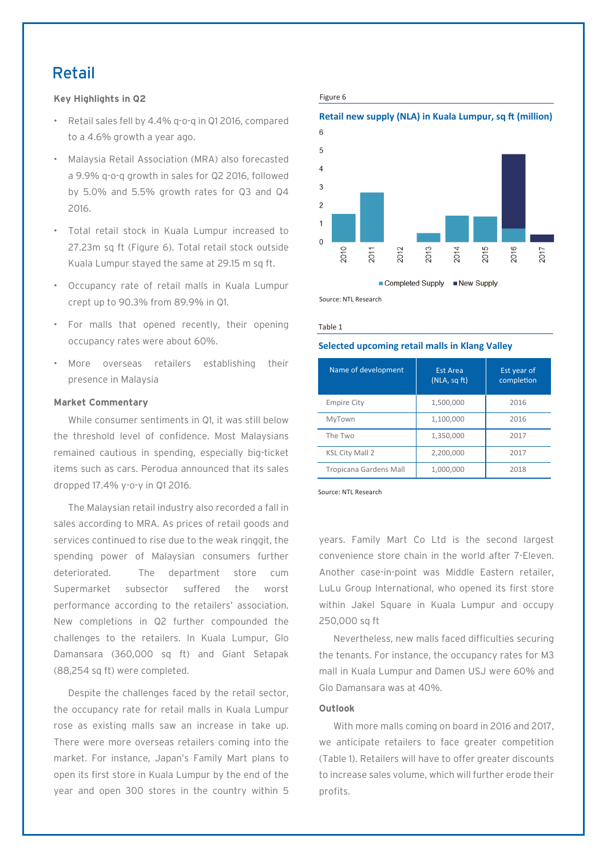### Retail

### **Key Highlights in Q2**

- Retail sales fell by 4.4% q-o-q in Q1 2016, compared to a 4.6% growth a year ago.
- Malaysia Retail Association (MRA) also forecasted a 9.9% q-o-q growth in sales for Q2 2016, followed by 5.0% and 5.5% growth rates for Q3 and Q4 2016.
- Total retail stock in Kuala Lumpur increased to 27.23m sq ft (Figure 6). Total retail stock outside Kuala Lumpur stayed the same at 29.15 m sq ft.
- Occupancy rate of retail malls in Kuala Lumpur crept up to 90.3% from 89.9% in Q1.
- For malls that opened recently, their opening occupancy rates were about 60%.
- More overseas retailers establishing their presence in Malaysia

### **Market Commentary**

While consumer sentiments in Q1, it was still below the threshold level of confidence. Most Malaysians remained cautious in spending, especially big-ticket items such as cars. Perodua announced that its sales dropped 17.4% y-o-y in Q1 2016.

The Malaysian retail industry also recorded a fall in sales according to MRA. As prices of retail goods and services continued to rise due to the weak ringgit, the spending power of Malaysian consumers further deteriorated. The department store cum Supermarket subsector suffered the worst performance according to the retailers' association. New completions in Q2 further compounded the challenges to the retailers. In Kuala Lumpur, Glo Damansara (360,000 sq ft) and Giant Setapak (88,254 sq ft) were completed.

Despite the challenges faced by the retail sector, the occupancy rate for retail malls in Kuala Lumpur rose as existing malls saw an increase in take up. There were more overseas retailers coming into the market. For instance, Japan's Family Mart plans to open its first store in Kuala Lumpur by the end of the year and open 300 stores in the country within 5

### Figure 6

### **Retail new supply (NLA) in Kuala Lumpur, sq ft (million)**



Source: NTL Research

### Table 1

### **Selected upcoming retail malls in Klang Valley**

| Name of development    | <b>Est Area</b><br>(NLA, sqft) | Est year of<br>completion |
|------------------------|--------------------------------|---------------------------|
| <b>Empire City</b>     | 1,500,000                      | 2016                      |
| MyTown                 | 1,100,000                      | 2016                      |
| The Two                | 1,350,000                      | 2017                      |
| <b>KSL City Mall 2</b> | 2,200,000                      | 2017                      |
| Tropicana Gardens Mall | 1,000,000                      | 2018                      |

Source: NTL Research

years. Family Mart Co Ltd is the second largest convenience store chain in the world after 7-Eleven. Another case-in-point was Middle Eastern retailer, LuLu Group International, who opened its first store within Jakel Square in Kuala Lumpur and occupy 250,000 sq ft

Nevertheless, new malls faced difficulties securing the tenants. For instance, the occupancy rates for M3 mall in Kuala Lumpur and Damen USJ were 60% and Glo Damansara was at 40%.

### **Outlook**

With more malls coming on board in 2016 and 2017, we anticipate retailers to face greater competition (Table 1). Retailers will have to offer greater discounts to increase sales volume, which will further erode their profits.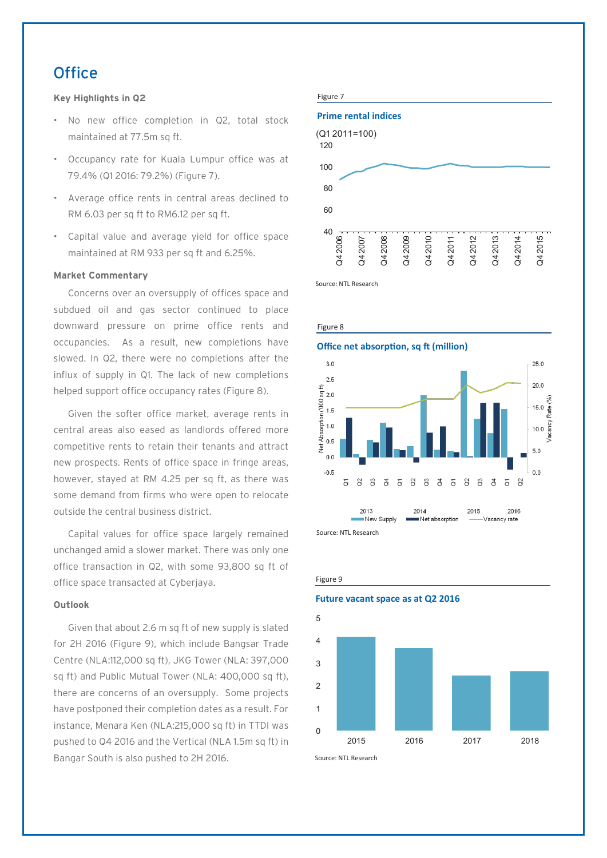### **Office**

### **Key Highlights in Q2**

- No new office completion in Q2, total stock maintained at 77.5m sq ft.
- Occupancy rate for Kuala Lumpur office was at 79.4% (Q1 2016: 79.2%) (Figure 7).
- Average office rents in central areas declined to RM 6.03 per sq ft to RM6.12 per sq ft.
- Capital value and average yield for office space maintained at RM 933 per sq ft and 6.25%.

### **Market Commentary**

Concerns over an oversupply of offices space and subdued oil and gas sector continued to place downward pressure on prime office rents and occupancies. As a result, new completions have slowed. In Q2, there were no completions after the influx of supply in Q1. The lack of new completions helped support office occupancy rates (Figure 8).

Given the softer office market, average rents in central areas also eased as landlords offered more competitive rents to retain their tenants and attract new prospects. Rents of office space in fringe areas, however, stayed at RM 4.25 per sq ft, as there was some demand from firms who were open to relocate outside the central business district.

Capital values for office space largely remained unchanged amid a slower market. There was only one office transaction in Q2, with some 93,800 sq ft of office space transacted at Cyberjaya.

### **Outlook**

Given that about 2.6 m sq ft of new supply is slated for 2H 2016 (Figure 9), which include Bangsar Trade Centre (NLA:112,000 sq ft), JKG Tower (NLA: 397,000 sq ft) and Public Mutual Tower (NLA: 400,000 sq ft), there are concerns of an oversupply. Some projects have postponed their completion dates as a result. For instance, Menara Ken (NLA:215,000 sq ft) in TTDI was pushed to Q4 2016 and the Vertical (NLA 1.5m sq ft) in Bangar South is also pushed to 2H 2016.







Figure 9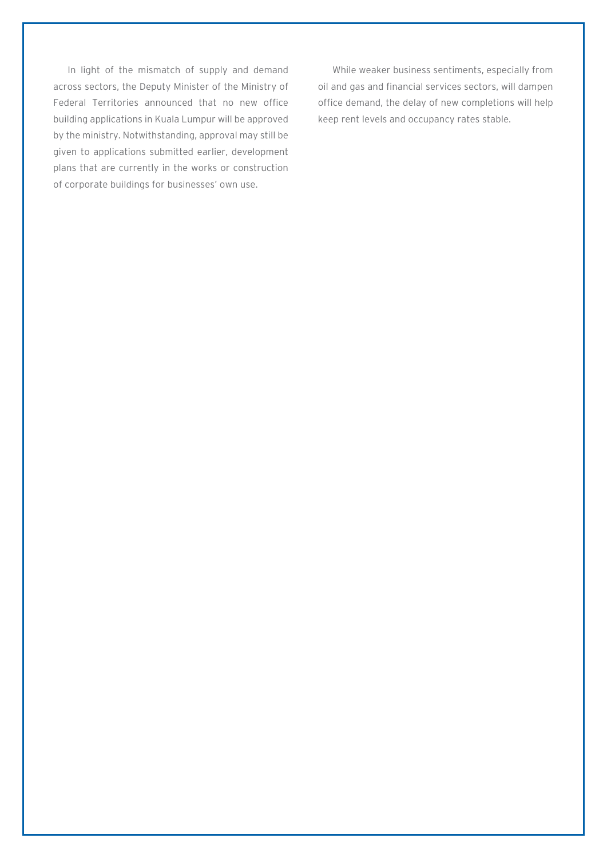In light of the mismatch of supply and demand across sectors, the Deputy Minister of the Ministry of Federal Territories announced that no new office building applications in Kuala Lumpur will be approved by the ministry. Notwithstanding, approval may still be given to applications submitted earlier, development plans that are currently in the works or construction of corporate buildings for businesses' own use.

While weaker business sentiments, especially from oil and gas and financial services sectors, will dampen office demand, the delay of new completions will help keep rent levels and occupancy rates stable.